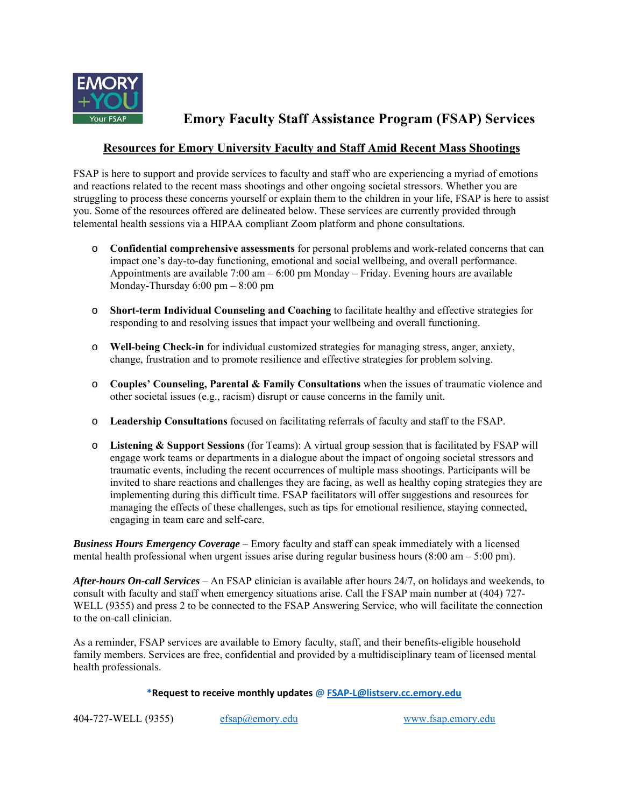

**Emory Faculty Staff Assistance Program (FSAP) Services**

## **Resources for Emory University Faculty and Staff Amid Recent Mass Shootings**

FSAP is here to support and provide services to faculty and staff who are experiencing a myriad of emotions and reactions related to the recent mass shootings and other ongoing societal stressors. Whether you are struggling to process these concerns yourself or explain them to the children in your life, FSAP is here to assist you. Some of the resources offered are delineated below. These services are currently provided through telemental health sessions via a HIPAA compliant Zoom platform and phone consultations.

- o **Confidential comprehensive assessments** for personal problems and work-related concerns that can impact one's day-to-day functioning, emotional and social wellbeing, and overall performance. Appointments are available  $7:00 \text{ am} - 6:00 \text{ pm}$  Monday – Friday. Evening hours are available Monday-Thursday 6:00 pm – 8:00 pm
- o **Short-term Individual Counseling and Coaching** to facilitate healthy and effective strategies for responding to and resolving issues that impact your wellbeing and overall functioning.
- o **Well-being Check-in** for individual customized strategies for managing stress, anger, anxiety, change, frustration and to promote resilience and effective strategies for problem solving.
- o **Couples' Counseling, Parental & Family Consultations** when the issues of traumatic violence and other societal issues (e.g., racism) disrupt or cause concerns in the family unit.
- o **Leadership Consultations** focused on facilitating referrals of faculty and staff to the FSAP.
- o **Listening & Support Sessions** (for Teams): A virtual group session that is facilitated by FSAP will engage work teams or departments in a dialogue about the impact of ongoing societal stressors and traumatic events, including the recent occurrences of multiple mass shootings. Participants will be invited to share reactions and challenges they are facing, as well as healthy coping strategies they are implementing during this difficult time. FSAP facilitators will offer suggestions and resources for managing the effects of these challenges, such as tips for emotional resilience, staying connected, engaging in team care and self-care.

*Business Hours Emergency Coverage* – Emory faculty and staff can speak immediately with a licensed mental health professional when urgent issues arise during regular business hours  $(8:00 \text{ am} - 5:00 \text{ pm})$ .

*After-hours On-call Services* – An FSAP clinician is available after hours 24/7, on holidays and weekends, to consult with faculty and staff when emergency situations arise. Call the FSAP main number at (404) 727- WELL (9355) and press 2 to be connected to the FSAP Answering Service, who will facilitate the connection to the on-call clinician.

As a reminder, FSAP services are available to Emory faculty, staff, and their benefits-eligible household family members. Services are free, confidential and provided by a multidisciplinary team of licensed mental health professionals.

#### **\*Request to receive monthly updates @ FSAP‐L@listserv.cc.emory.edu**

404-727-WELL (9355) efsap@emory.edu www.fsap.emory.edu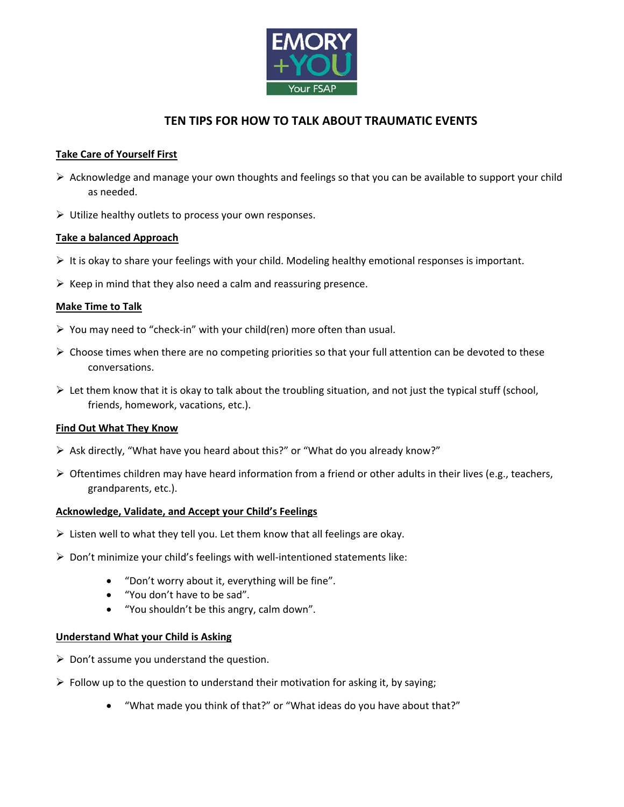

# **TEN TIPS FOR HOW TO TALK ABOUT TRAUMATIC EVENTS**

## **Take Care of Yourself First**

- $\triangleright$  Acknowledge and manage your own thoughts and feelings so that you can be available to support your child as needed.
- $\triangleright$  Utilize healthy outlets to process your own responses.

## **Take a balanced Approach**

- $\triangleright$  It is okay to share your feelings with your child. Modeling healthy emotional responses is important.
- $\triangleright$  Keep in mind that they also need a calm and reassuring presence.

## **Make Time to Talk**

- You may need to "check‐in" with your child(ren) more often than usual.
- $\triangleright$  Choose times when there are no competing priorities so that your full attention can be devoted to these conversations.
- $\triangleright$  Let them know that it is okay to talk about the troubling situation, and not just the typical stuff (school, friends, homework, vacations, etc.).

#### **Find Out What They Know**

- $\triangleright$  Ask directly, "What have you heard about this?" or "What do you already know?"
- $\triangleright$  Oftentimes children may have heard information from a friend or other adults in their lives (e.g., teachers, grandparents, etc.).

#### **Acknowledge, Validate, and Accept your Child's Feelings**

- $\triangleright$  Listen well to what they tell you. Let them know that all feelings are okay.
- Don't minimize your child's feelings with well‐intentioned statements like:
	- "Don't worry about it, everything will be fine".
	- "You don't have to be sad".
	- "You shouldn't be this angry, calm down".

#### **Understand What your Child is Asking**

- $\triangleright$  Don't assume you understand the question.
- $\triangleright$  Follow up to the question to understand their motivation for asking it, by saying;
	- "What made you think of that?" or "What ideas do you have about that?"